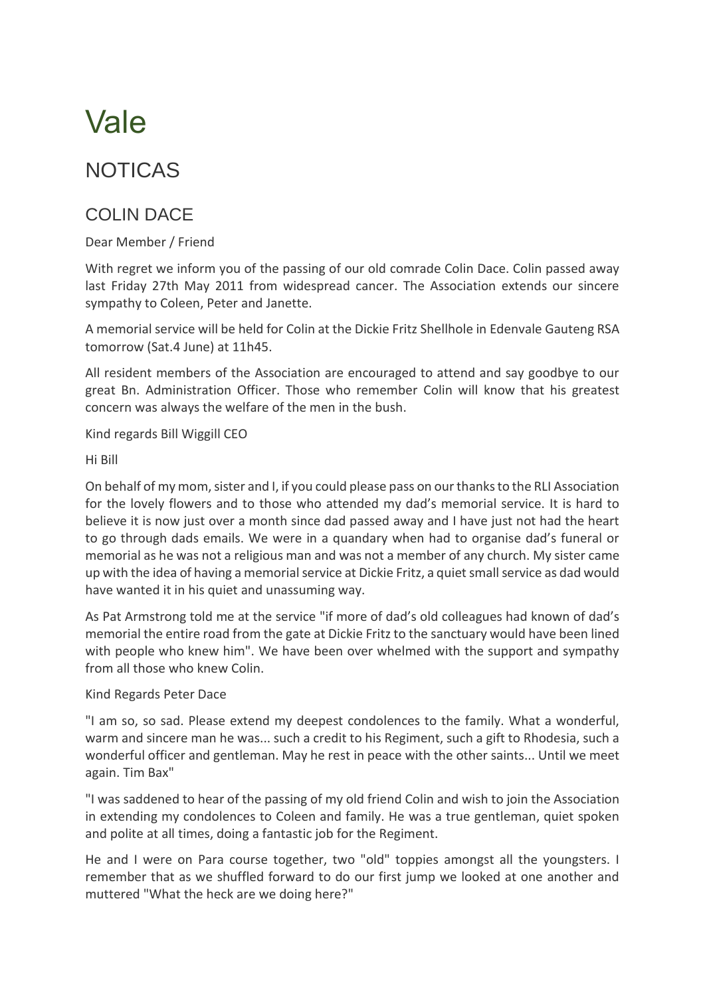## Vale

## NOTICAS

## COLIN DACE

Dear Member / Friend

With regret we inform you of the passing of our old comrade Colin Dace. Colin passed away last Friday 27th May 2011 from widespread cancer. The Association extends our sincere sympathy to Coleen, Peter and Janette.

A memorial service will be held for Colin at the Dickie Fritz Shellhole in Edenvale Gauteng RSA tomorrow (Sat.4 June) at 11h45.

All resident members of the Association are encouraged to attend and say goodbye to our great Bn. Administration Officer. Those who remember Colin will know that his greatest concern was always the welfare of the men in the bush.

Kind regards Bill Wiggill CEO

Hi Bill

On behalf of my mom, sister and I, if you could please pass on our thanks to the RLI Association for the lovely flowers and to those who attended my dad's memorial service. It is hard to believe it is now just over a month since dad passed away and I have just not had the heart to go through dads emails. We were in a quandary when had to organise dad's funeral or memorial as he was not a religious man and was not a member of any church. My sister came up with the idea of having a memorial service at Dickie Fritz, a quiet small service as dad would have wanted it in his quiet and unassuming way.

As Pat Armstrong told me at the service "if more of dad's old colleagues had known of dad's memorial the entire road from the gate at Dickie Fritz to the sanctuary would have been lined with people who knew him". We have been over whelmed with the support and sympathy from all those who knew Colin.

## Kind Regards Peter Dace

"I am so, so sad. Please extend my deepest condolences to the family. What a wonderful, warm and sincere man he was... such a credit to his Regiment, such a gift to Rhodesia, such a wonderful officer and gentleman. May he rest in peace with the other saints... Until we meet again. Tim Bax"

"I was saddened to hear of the passing of my old friend Colin and wish to join the Association in extending my condolences to Coleen and family. He was a true gentleman, quiet spoken and polite at all times, doing a fantastic job for the Regiment.

He and I were on Para course together, two "old" toppies amongst all the youngsters. I remember that as we shuffled forward to do our first jump we looked at one another and muttered "What the heck are we doing here?"